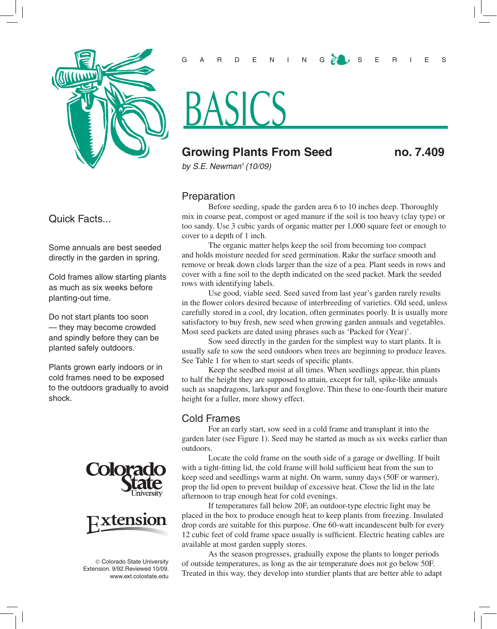

Quick Facts...

Some annuals are best seeded directly in the garden in spring.

Cold frames allow starting plants as much as six weeks before planting-out time.

Do not start plants too soon — they may become crowded and spindly before they can be planted safely outdoors.

Plants grown early indoors or in cold frames need to be exposed to the outdoors gradually to avoid shock.





© Colorado State University Extension. 9/92.Reviewed 10/09. www.ext.colostate.edu



# BASICS

## **Growing Plants From Seed no. 7.409**

*by S.E. Newman1 (10/09)*

#### Preparation

Before seeding, spade the garden area 6 to 10 inches deep. Thoroughly mix in coarse peat, compost or aged manure if the soil is too heavy (clay type) or too sandy. Use 3 cubic yards of organic matter per 1,000 square feet or enough to cover to a depth of 1 inch.

The organic matter helps keep the soil from becoming too compact and holds moisture needed for seed germination. Rake the surface smooth and remove or break down clods larger than the size of a pea. Plant seeds in rows and cover with a fine soil to the depth indicated on the seed packet. Mark the seeded rows with identifying labels.

Use good, viable seed. Seed saved from last year's garden rarely results in the flower colors desired because of interbreeding of varieties. Old seed, unless carefully stored in a cool, dry location, often germinates poorly. It is usually more satisfactory to buy fresh, new seed when growing garden annuals and vegetables. Most seed packets are dated using phrases such as 'Packed for (Year)'.

Sow seed directly in the garden for the simplest way to start plants. It is usually safe to sow the seed outdoors when trees are beginning to produce leaves. See Table 1 for when to start seeds of specific plants.

Keep the seedbed moist at all times. When seedlings appear, thin plants to half the height they are supposed to attain, except for tall, spike-like annuals such as snapdragons, larkspur and foxglove. Thin these to one-fourth their mature height for a fuller, more showy effect.

#### Cold Frames

For an early start, sow seed in a cold frame and transplant it into the garden later (see Figure 1). Seed may be started as much as six weeks earlier than outdoors.

Locate the cold frame on the south side of a garage or dwelling. If built with a tight-fitting lid, the cold frame will hold sufficient heat from the sun to keep seed and seedlings warm at night. On warm, sunny days (50F or warmer), prop the lid open to prevent buildup of excessive heat. Close the lid in the late afternoon to trap enough heat for cold evenings.

If temperatures fall below 20F, an outdoor-type electric light may be placed in the box to produce enough heat to keep plants from freezing. Insulated drop cords are suitable for this purpose. One 60-watt incandescent bulb for every 12 cubic feet of cold frame space usually is sufficient. Electric heating cables are available at most garden supply stores.

As the season progresses, gradually expose the plants to longer periods of outside temperatures, as long as the air temperature does not go below 50F. Treated in this way, they develop into sturdier plants that are better able to adapt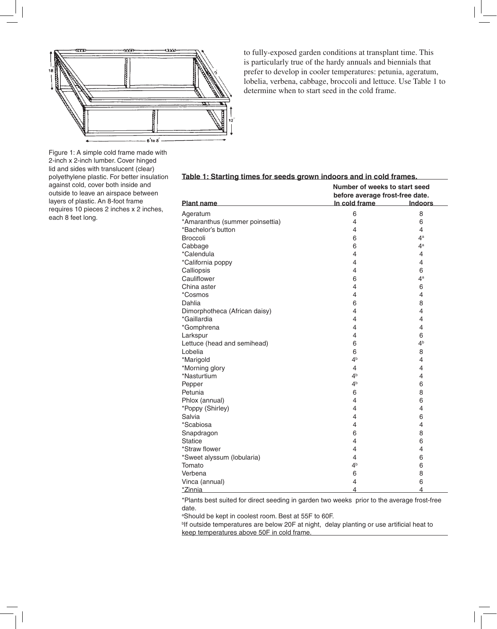

Figure 1: A simple cold frame made with 2-inch x 2-inch lumber. Cover hinged lid and sides with translucent (clear) polyethylene plastic. For better insulation against cold, cover both inside and outside to leave an airspace between layers of plastic. An 8-foot frame requires 10 pieces 2 inches x 2 inches, each 8 feet long.

to fully-exposed garden conditions at transplant time. This is particularly true of the hardy annuals and biennials that prefer to develop in cooler temperatures: petunia, ageratum, lobelia, verbena, cabbage, broccoli and lettuce. Use Table 1 to determine when to start seed in the cold frame.

| <b>Plant name</b>               | Number of weeks to start seed<br>before average frost-free date. |                |
|---------------------------------|------------------------------------------------------------------|----------------|
|                                 | In cold frame                                                    | <b>Indoors</b> |
| Ageratum                        | 6                                                                | 8              |
| *Amaranthus (summer poinsettia) | 4                                                                | 6              |
| *Bachelor's button              | 4                                                                | $\overline{4}$ |
| <b>Broccoli</b>                 | 6                                                                | 4 <sup>a</sup> |
| Cabbage                         | 6                                                                | 4 <sup>a</sup> |
| *Calendula                      | 4                                                                | $\overline{4}$ |
| *California poppy               | 4                                                                | $\overline{4}$ |
| Calliopsis                      | 4                                                                | 6              |
| Cauliflower                     | 6                                                                | 4 <sup>a</sup> |
| China aster                     | 4                                                                | 6              |
| *Cosmos                         | 4                                                                | $\overline{4}$ |
| Dahlia                          | 6                                                                | 8              |
| Dimorphotheca (African daisy)   | 4                                                                | $\overline{4}$ |
| *Gaillardia                     | 4                                                                | $\overline{4}$ |
| *Gomphrena                      | 4                                                                | $\overline{4}$ |
| Larkspur                        | $\overline{4}$                                                   | 6              |
| Lettuce (head and semihead)     | 6                                                                | 4 <sup>b</sup> |
| Lobelia                         | 6                                                                | 8              |
| *Marigold                       | 4 <sup>b</sup>                                                   | 4              |
| *Morning glory                  | $\overline{4}$                                                   | 4              |
| *Nasturtium                     | 4 <sup>b</sup>                                                   | 4              |
| Pepper                          | 4 <sup>b</sup>                                                   | 6              |
| Petunia                         | 6                                                                | 8              |
| Phlox (annual)                  | $\overline{4}$                                                   | 6              |
| *Poppy (Shirley)                | $\overline{4}$                                                   | 4              |
| Salvia                          | $\overline{4}$                                                   | 6              |
| *Scabiosa                       | 4                                                                | 4              |
| Snapdragon                      | 6                                                                | 8              |
| <b>Statice</b>                  | 4                                                                | 6              |
| *Straw flower                   | $\overline{4}$                                                   | 4              |
| *Sweet alyssum (lobularia)      | 4                                                                | 6              |
| Tomato                          | 4 <sup>b</sup>                                                   | 6              |
| Verbena                         | 6                                                                | 8              |
| Vinca (annual)                  | 4                                                                | 6              |
| *Zinnia                         | $\overline{4}$                                                   | 4              |

#### **Table 1: Starting times for seeds grown indoors and in cold frames.**

\*Plants best suited for direct seeding in garden two weeks prior to the average frost-free date.

a Should be kept in coolest room. Best at 55F to 60F.

<sup>b</sup>lf outside temperatures are below 20F at night, delay planting or use artificial heat to keep temperatures above 50F in cold frame.